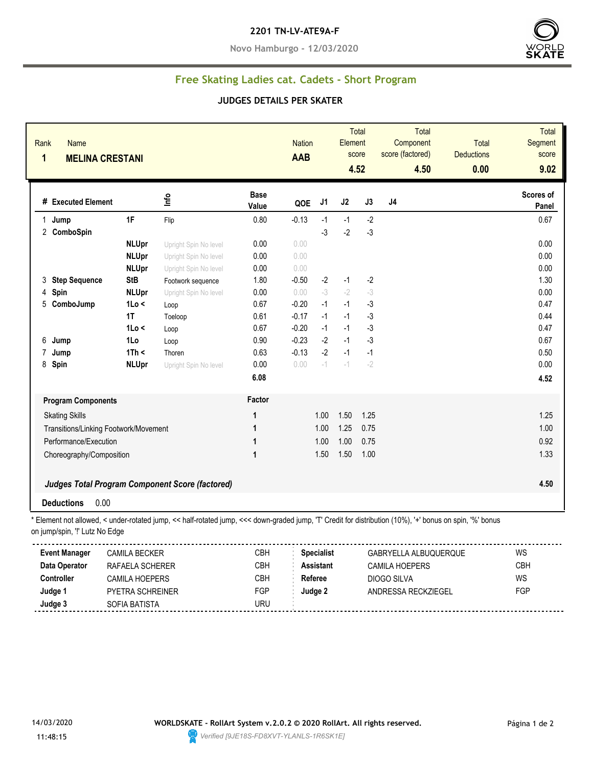#### **2201 TN-LV-ATE9A-F**

**Novo Hamburgo - 12/03/2020**



# **Free Skating Ladies cat. Cadets - Short Program**

#### **JUDGES DETAILS PER SKATER**

| Rank<br><b>Name</b><br>$\mathbf{1}$ | <b>MELINA CRESTANI</b>                |                                                                                                                                                          |                      | <b>Nation</b><br><b>AAB</b> |                   | Element | <b>Total</b><br>score<br>4.52 | <b>Total</b><br>Component<br>score (factored)<br>4.50 | <b>Total</b><br><b>Deductions</b><br>0.00 | <b>Total</b><br>Segment<br>score<br>9.02 |
|-------------------------------------|---------------------------------------|----------------------------------------------------------------------------------------------------------------------------------------------------------|----------------------|-----------------------------|-------------------|---------|-------------------------------|-------------------------------------------------------|-------------------------------------------|------------------------------------------|
| # Executed Element                  |                                       | Info                                                                                                                                                     | <b>Base</b><br>Value | QOE                         | J1                | J2      | J3                            | J4                                                    |                                           | <b>Scores of</b><br>Panel                |
| 1 Jump                              | 1F                                    | Flip                                                                                                                                                     | 0.80                 | $-0.13$                     | $-1$              | $-1$    | $-2$                          |                                                       |                                           | 0.67                                     |
| 2 ComboSpin                         |                                       |                                                                                                                                                          |                      |                             | $-3$              | $-2$    | $-3$                          |                                                       |                                           |                                          |
|                                     | <b>NLUpr</b>                          | Upright Spin No level                                                                                                                                    | 0.00                 | 0.00                        |                   |         |                               |                                                       |                                           | 0.00                                     |
|                                     | <b>NLUpr</b>                          | Upright Spin No level                                                                                                                                    | $0.00\,$             | 0.00                        |                   |         |                               |                                                       |                                           | 0.00                                     |
|                                     | <b>NLUpr</b>                          | Upright Spin No level                                                                                                                                    | 0.00                 | 0.00                        |                   |         |                               |                                                       |                                           | 0.00                                     |
| 3 Step Sequence                     | <b>StB</b>                            | Footwork sequence                                                                                                                                        | 1.80                 | $-0.50$                     | $-2$              | $-1$    | $-2$                          |                                                       |                                           | 1.30                                     |
| Spin<br>4                           | <b>NLUpr</b>                          | Upright Spin No level                                                                                                                                    | 0.00                 | 0.00                        | $-3$              | $-2$    | -3                            |                                                       |                                           | 0.00                                     |
| 5 ComboJump                         | 1Lo <                                 | Loop                                                                                                                                                     | 0.67                 | $-0.20$                     | $-1$              | $-1$    | $-3$                          |                                                       |                                           | 0.47                                     |
|                                     | 1T                                    | Toeloop                                                                                                                                                  | 0.61                 | $-0.17$                     | $-1$              | $-1$    | $-3$                          |                                                       |                                           | 0.44                                     |
|                                     | 1 <sub>0</sub> <                      | Loop                                                                                                                                                     | 0.67                 | $-0.20$                     | $-1$              | $-1$    | $-3$                          |                                                       |                                           | 0.47                                     |
| 6<br>Jump                           | 1Lo                                   | Loop                                                                                                                                                     | 0.90                 | $-0.23$                     | $-2$              | $-1$    | -3                            |                                                       |                                           | 0.67                                     |
| $\overline{7}$<br>Jump              | 1Th <                                 | Thoren                                                                                                                                                   | 0.63                 | $-0.13$                     | $-2$              | $-1$    | $-1$                          |                                                       |                                           | 0.50                                     |
| 8 Spin                              | <b>NLUpr</b>                          | Upright Spin No level                                                                                                                                    | 0.00                 | 0.00                        | $-1$              | $-1$    | $-2$                          |                                                       |                                           | 0.00                                     |
|                                     |                                       |                                                                                                                                                          | 6.08                 |                             |                   |         |                               |                                                       |                                           | 4.52                                     |
| <b>Program Components</b>           |                                       |                                                                                                                                                          | Factor               |                             |                   |         |                               |                                                       |                                           |                                          |
| <b>Skating Skills</b>               |                                       |                                                                                                                                                          | $\mathbf{1}$         |                             | 1.00              | 1.50    | 1.25                          |                                                       |                                           | 1.25                                     |
|                                     | Transitions/Linking Footwork/Movement |                                                                                                                                                          | 1                    |                             | 1.00              | 1.25    | 0.75                          |                                                       |                                           | 1.00                                     |
|                                     | Performance/Execution                 |                                                                                                                                                          | $\mathbf{1}$         |                             | 1.00              | 1.00    | 0.75                          |                                                       |                                           | 0.92                                     |
|                                     | Choreography/Composition              |                                                                                                                                                          | $\mathbf{1}$         |                             | 1.50              | 1.50    | 1.00                          |                                                       |                                           | 1.33                                     |
|                                     |                                       |                                                                                                                                                          |                      |                             |                   |         |                               |                                                       |                                           |                                          |
|                                     |                                       | <b>Judges Total Program Component Score (factored)</b>                                                                                                   |                      |                             |                   |         |                               |                                                       |                                           | 4.50                                     |
| <b>Deductions</b>                   | 0.00                                  |                                                                                                                                                          |                      |                             |                   |         |                               |                                                       |                                           |                                          |
|                                     |                                       | * Element not allowed, < under-rotated jump, << half-rotated jump, <<< down-graded jump, 'T' Credit for distribution (10%), '+' bonus on spin, '%' bonus |                      |                             |                   |         |                               |                                                       |                                           |                                          |
| on jump/spin, "!' Lutz No Edge      |                                       |                                                                                                                                                          |                      |                             |                   |         |                               |                                                       |                                           |                                          |
| <b>Event Manager</b>                | <b>CAMILA BECKER</b>                  |                                                                                                                                                          | <b>CBH</b>           |                             | <b>Specialist</b> |         |                               | GABRYELLA ALBUQUERQUE                                 |                                           | <b>WS</b>                                |
| Data Operator                       | RAFAELA SCHERER                       |                                                                                                                                                          | CBH                  |                             | <b>Assistant</b>  |         |                               | <b>CAMILA HOEPERS</b>                                 |                                           | CBH                                      |
| <b>Controller</b>                   | <b>CAMILA HOEPERS</b>                 |                                                                                                                                                          | <b>CBH</b>           |                             | <b>Referee</b>    |         |                               | <b>DIOGO SILVA</b>                                    |                                           | WS                                       |
| Judge 1                             | PYETRA SCHREINER                      |                                                                                                                                                          | <b>FGP</b>           |                             | Judge 2           |         |                               | ANDRESSA RECKZIEGEL                                   |                                           | FGP                                      |
| Judge 3                             | SOFIA BATISTA                         |                                                                                                                                                          | <b>URU</b>           |                             |                   |         |                               |                                                       |                                           |                                          |